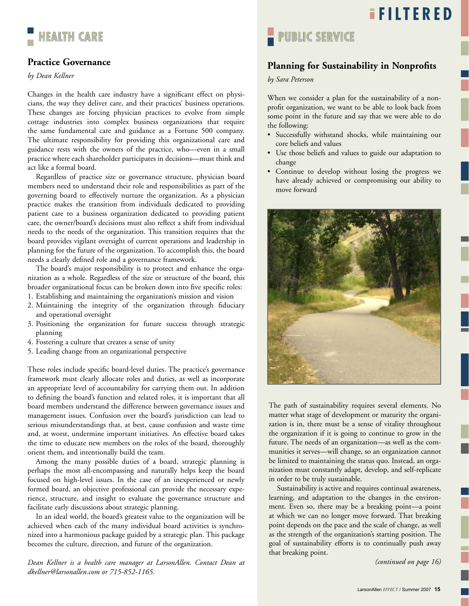

## **Planning for Sustainability in Nonprofits**

*by Sara Peterson*

When we consider a plan for the sustainability of a nonprofit organization, we want to be able to look back from some point in the future and say that we were able to do the following:

- Successfully withstand shocks, while maintaining our core beliefs and values
- Use those beliefs and values to guide our adaptation to change
- Continue to develop without losing the progress we have already achieved or compromising our ability to move forward



The path of sustainability requires several elements. No matter what stage of development or maturity the organization is in, there must be a sense of vitality throughout the organization if it is going to continue to grow in the future. The needs of an organization—as well as the communities it serves—will change, so an organization cannot be limited to maintaining the status quo. Instead, an organization must constantly adapt, develop, and self-replicate in order to be truly sustainable.

Sustainability is active and requires continual awareness, learning, and adaptation to the changes in the environment. Even so, there may be a breaking point—a point at which we can no longer move forward. That breaking point depends on the pace and the scale of change, as well as the strength of the organization's starting position. The goal of sustainability efforts is to continually push away that breaking point.

*(continued on page 16)*